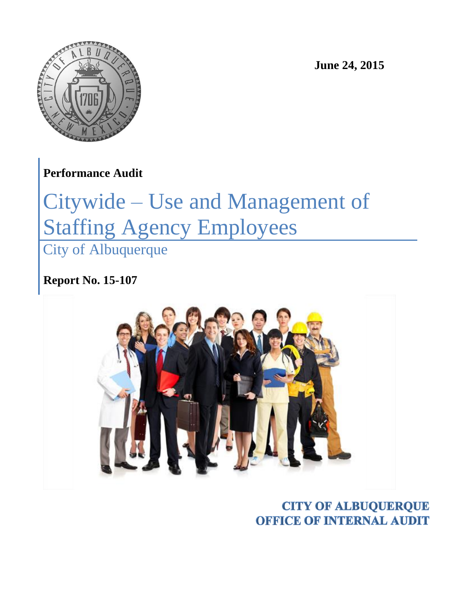

**June 24, 2015**

**Performance Audit**

# Citywide – Use and Management of Staffing Agency Employees

City of Albuquerque

**Report No. 15-107**



**CITY OF ALBUQUERQUE OFFICE OF INTERNAL AUDIT**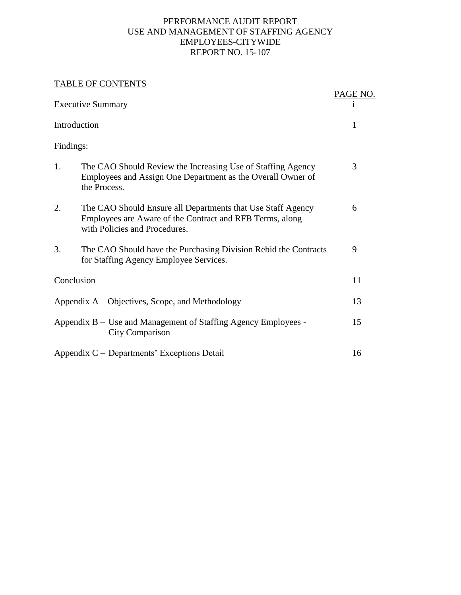#### PERFORMANCE AUDIT REPORT USE AND MANAGEMENT OF STAFFING AGENCY EMPLOYEES-CITYWIDE REPORT NO. 15-107

#### TABLE OF CONTENTS

|              | <b>IADLE UF CUNTENTS</b>                                                                                                                                 | PAGE NO. |
|--------------|----------------------------------------------------------------------------------------------------------------------------------------------------------|----------|
|              | <b>Executive Summary</b>                                                                                                                                 | 1        |
| Introduction |                                                                                                                                                          | 1        |
| Findings:    |                                                                                                                                                          |          |
| 1.           | The CAO Should Review the Increasing Use of Staffing Agency<br>Employees and Assign One Department as the Overall Owner of<br>the Process.               | 3        |
| 2.           | The CAO Should Ensure all Departments that Use Staff Agency<br>Employees are Aware of the Contract and RFB Terms, along<br>with Policies and Procedures. | 6        |
| 3.           | The CAO Should have the Purchasing Division Rebid the Contracts<br>for Staffing Agency Employee Services.                                                | 9        |
| Conclusion   |                                                                                                                                                          | 11       |
|              | Appendix A – Objectives, Scope, and Methodology                                                                                                          | 13       |
|              | Appendix B – Use and Management of Staffing Agency Employees -<br>City Comparison                                                                        | 15       |
|              | Appendix C – Departments' Exceptions Detail                                                                                                              | 16       |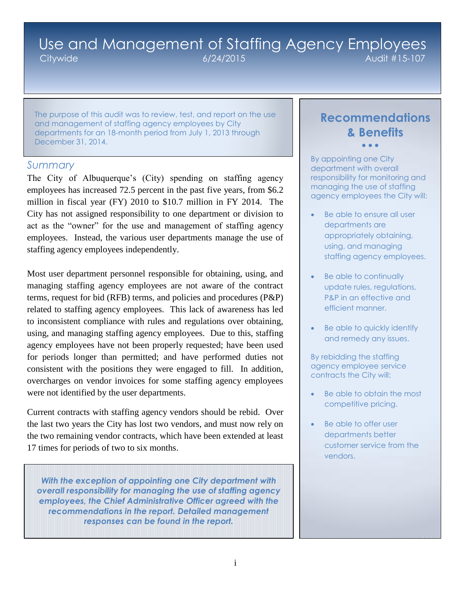## Use and Management of Staffing Agency Employees Citywide 6/24/2015 Audit #15-107

The purpose of this audit was to review, test, and report on the use and management of staffing agency employees by City departments for an 18-month period from July 1, 2013 through December 31, 2014.

#### *Summary*

The City of Albuquerque's (City) spending on staffing agency employees has increased 72.5 percent in the past five years, from \$6.2 million in fiscal year (FY) 2010 to \$10.7 million in FY 2014. The City has not assigned responsibility to one department or division to act as the "owner" for the use and management of staffing agency employees. Instead, the various user departments manage the use of staffing agency employees independently.

Most user department personnel responsible for obtaining, using, and managing staffing agency employees are not aware of the contract terms, request for bid (RFB) terms, and policies and procedures (P&P) related to staffing agency employees. This lack of awareness has led to inconsistent compliance with rules and regulations over obtaining, using, and managing staffing agency employees. Due to this, staffing agency employees have not been properly requested; have been used for periods longer than permitted; and have performed duties not consistent with the positions they were engaged to fill. In addition, overcharges on vendor invoices for some staffing agency employees were not identified by the user departments.

Current contracts with staffing agency vendors should be rebid. Over the last two years the City has lost two vendors, and must now rely on the two remaining vendor contracts, which have been extended at least 17 times for periods of two to six months.

*With the exception of appointing one City department with overall responsibility for managing the use of staffing agency employees, the Chief Administrative Officer agreed with the recommendations in the report. Detailed management responses can be found in the report.*

## **Recommendations & Benefits**  $\bullet$   $\bullet$   $\bullet$

By appointing one City department with overall responsibility for monitoring and managing the use of staffing agency employees the City will:

- Be able to ensure all user departments are appropriately obtaining, using, and managing staffing agency employees.
- Be able to continually update rules, regulations, P&P in an effective and efficient manner.
- Be able to quickly identify and remedy any issues.

By rebidding the staffing agency employee service contracts the City will:

- Be able to obtain the most competitive pricing.
- Be able to offer user departments better customer service from the vendors.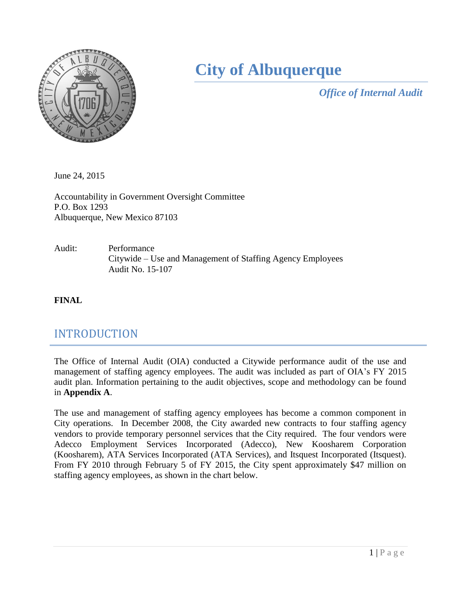

## **City of Albuquerque**

*Office of Internal Audit*

June 24, 2015

Accountability in Government Oversight Committee P.O. Box 1293 Albuquerque, New Mexico 87103

Audit: Performance Citywide – Use and Management of Staffing Agency Employees Audit No. 15-107

**FINAL** 

## INTRODUCTION

The Office of Internal Audit (OIA) conducted a Citywide performance audit of the use and management of staffing agency employees. The audit was included as part of OIA's FY 2015 audit plan. Information pertaining to the audit objectives, scope and methodology can be found in **Appendix A**.

The use and management of staffing agency employees has become a common component in City operations. In December 2008, the City awarded new contracts to four staffing agency vendors to provide temporary personnel services that the City required. The four vendors were Adecco Employment Services Incorporated (Adecco), New Koosharem Corporation (Koosharem), ATA Services Incorporated (ATA Services), and Itsquest Incorporated (Itsquest). From FY 2010 through February 5 of FY 2015, the City spent approximately \$47 million on staffing agency employees, as shown in the chart below.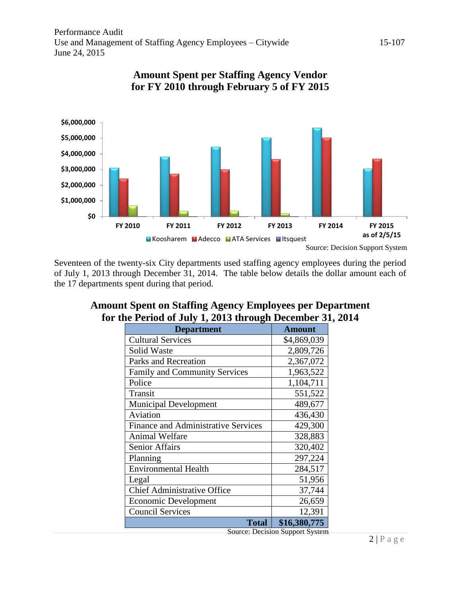

### **Amount Spent per Staffing Agency Vendor for FY 2010 through February 5 of FY 2015**

Seventeen of the twenty-six City departments used staffing agency employees during the period of July 1, 2013 through December 31, 2014. The table below details the dollar amount each of the 17 departments spent during that period.

| <b>Department</b>                          | <b>Amount</b> |
|--------------------------------------------|---------------|
| <b>Cultural Services</b>                   | \$4,869,039   |
| <b>Solid Waste</b>                         | 2,809,726     |
| <b>Parks and Recreation</b>                | 2,367,072     |
| <b>Family and Community Services</b>       | 1,963,522     |
| Police                                     | 1,104,711     |
| Transit                                    | 551,522       |
| <b>Municipal Development</b>               | 489,677       |
| Aviation                                   | 436,430       |
| <b>Finance and Administrative Services</b> | 429,300       |
| <b>Animal Welfare</b>                      | 328,883       |
| <b>Senior Affairs</b>                      | 320,402       |
| Planning                                   | 297,224       |
| <b>Environmental Health</b>                | 284,517       |
| Legal                                      | 51,956        |
| <b>Chief Administrative Office</b>         | 37,744        |
| Economic Development                       | 26,659        |
| <b>Council Services</b>                    | 12,391        |
| <b>Total</b>                               | \$16,380,775  |

## **Amount Spent on Staffing Agency Employees per Department for the Period of July 1, 2013 through December 31, 2014**

Source: Decision Support System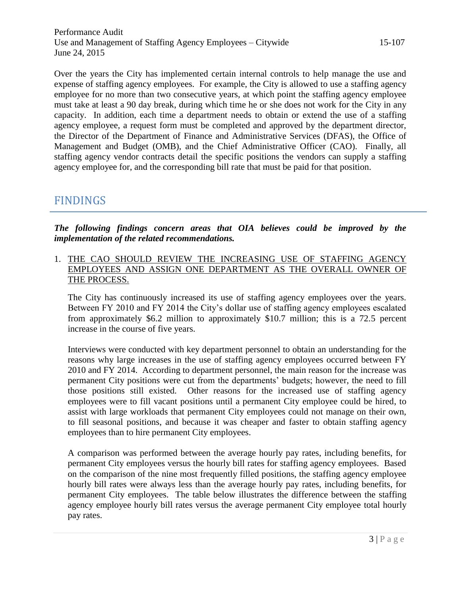Over the years the City has implemented certain internal controls to help manage the use and expense of staffing agency employees. For example, the City is allowed to use a staffing agency employee for no more than two consecutive years, at which point the staffing agency employee must take at least a 90 day break, during which time he or she does not work for the City in any capacity. In addition, each time a department needs to obtain or extend the use of a staffing agency employee, a request form must be completed and approved by the department director, the Director of the Department of Finance and Administrative Services (DFAS), the Office of Management and Budget (OMB), and the Chief Administrative Officer (CAO). Finally, all staffing agency vendor contracts detail the specific positions the vendors can supply a staffing agency employee for, and the corresponding bill rate that must be paid for that position.

## FINDINGS

*The following findings concern areas that OIA believes could be improved by the implementation of the related recommendations.*

1. THE CAO SHOULD REVIEW THE INCREASING USE OF STAFFING AGENCY EMPLOYEES AND ASSIGN ONE DEPARTMENT AS THE OVERALL OWNER OF THE PROCESS.

The City has continuously increased its use of staffing agency employees over the years. Between FY 2010 and FY 2014 the City's dollar use of staffing agency employees escalated from approximately \$6.2 million to approximately \$10.7 million; this is a 72.5 percent increase in the course of five years.

Interviews were conducted with key department personnel to obtain an understanding for the reasons why large increases in the use of staffing agency employees occurred between FY 2010 and FY 2014. According to department personnel, the main reason for the increase was permanent City positions were cut from the departments' budgets; however, the need to fill those positions still existed. Other reasons for the increased use of staffing agency employees were to fill vacant positions until a permanent City employee could be hired, to assist with large workloads that permanent City employees could not manage on their own, to fill seasonal positions, and because it was cheaper and faster to obtain staffing agency employees than to hire permanent City employees.

A comparison was performed between the average hourly pay rates, including benefits, for permanent City employees versus the hourly bill rates for staffing agency employees. Based on the comparison of the nine most frequently filled positions, the staffing agency employee hourly bill rates were always less than the average hourly pay rates, including benefits, for permanent City employees. The table below illustrates the difference between the staffing agency employee hourly bill rates versus the average permanent City employee total hourly pay rates.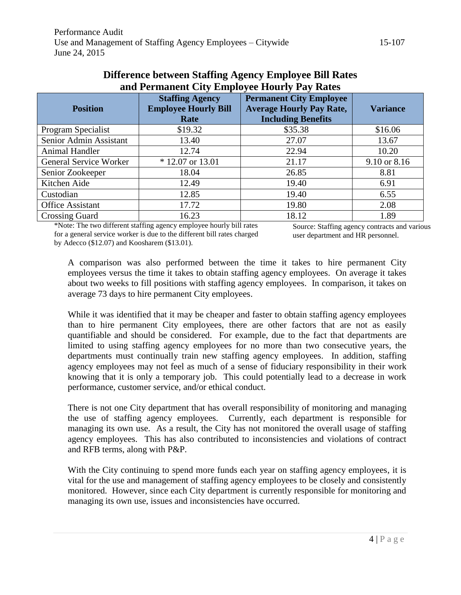| <b>Position</b>               | <b>Staffing Agency</b><br><b>Employee Hourly Bill</b><br>Rate | <b>Permanent City Employee</b><br><b>Average Hourly Pay Rate,</b><br><b>Including Benefits</b> | <b>Variance</b> |
|-------------------------------|---------------------------------------------------------------|------------------------------------------------------------------------------------------------|-----------------|
| Program Specialist            | \$19.32                                                       | \$35.38                                                                                        | \$16.06         |
| Senior Admin Assistant        | 13.40                                                         | 27.07                                                                                          | 13.67           |
| <b>Animal Handler</b>         | 12.74                                                         | 22.94                                                                                          | 10.20           |
| <b>General Service Worker</b> | $* 12.07$ or 13.01                                            | 21.17                                                                                          | 9.10 or 8.16    |
| Senior Zookeeper              | 18.04                                                         | 26.85                                                                                          | 8.81            |
| Kitchen Aide                  | 12.49                                                         | 19.40                                                                                          | 6.91            |
| Custodian                     | 12.85                                                         | 19.40                                                                                          | 6.55            |
| <b>Office Assistant</b>       | 17.72                                                         | 19.80                                                                                          | 2.08            |
| <b>Crossing Guard</b>         | 16.23                                                         | 18.12                                                                                          | 1.89            |

#### **Difference between Staffing Agency Employee Bill Rates and Permanent City Employee Hourly Pay Rates**

\*Note: The two different staffing agency employee hourly bill rates for a general service worker is due to the different bill rates charged by Adecco (\$12.07) and Koosharem (\$13.01).

Source: Staffing agency contracts and various user department and HR personnel.

A comparison was also performed between the time it takes to hire permanent City employees versus the time it takes to obtain staffing agency employees. On average it takes about two weeks to fill positions with staffing agency employees. In comparison, it takes on average 73 days to hire permanent City employees.

While it was identified that it may be cheaper and faster to obtain staffing agency employees than to hire permanent City employees, there are other factors that are not as easily quantifiable and should be considered. For example, due to the fact that departments are limited to using staffing agency employees for no more than two consecutive years, the departments must continually train new staffing agency employees. In addition, staffing agency employees may not feel as much of a sense of fiduciary responsibility in their work knowing that it is only a temporary job. This could potentially lead to a decrease in work performance, customer service, and/or ethical conduct.

There is not one City department that has overall responsibility of monitoring and managing the use of staffing agency employees. Currently, each department is responsible for managing its own use. As a result, the City has not monitored the overall usage of staffing agency employees. This has also contributed to inconsistencies and violations of contract and RFB terms, along with P&P.

With the City continuing to spend more funds each year on staffing agency employees, it is vital for the use and management of staffing agency employees to be closely and consistently monitored. However, since each City department is currently responsible for monitoring and managing its own use, issues and inconsistencies have occurred.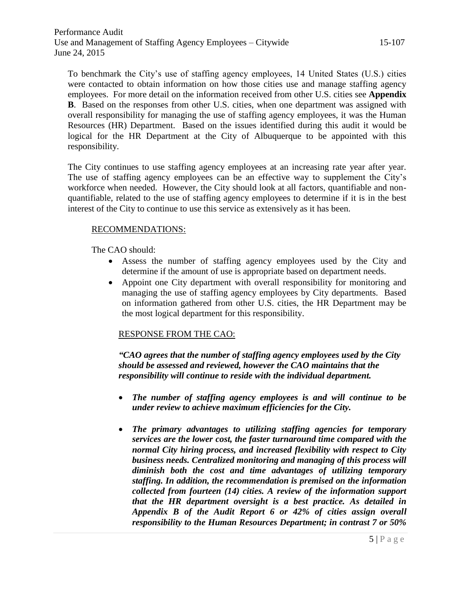To benchmark the City's use of staffing agency employees, 14 United States (U.S.) cities were contacted to obtain information on how those cities use and manage staffing agency employees. For more detail on the information received from other U.S. cities see **Appendix B**. Based on the responses from other U.S. cities, when one department was assigned with overall responsibility for managing the use of staffing agency employees, it was the Human Resources (HR) Department. Based on the issues identified during this audit it would be logical for the HR Department at the City of Albuquerque to be appointed with this responsibility.

The City continues to use staffing agency employees at an increasing rate year after year. The use of staffing agency employees can be an effective way to supplement the City's workforce when needed. However, the City should look at all factors, quantifiable and nonquantifiable, related to the use of staffing agency employees to determine if it is in the best interest of the City to continue to use this service as extensively as it has been.

#### RECOMMENDATIONS:

The CAO should:

- Assess the number of staffing agency employees used by the City and determine if the amount of use is appropriate based on department needs.
- Appoint one City department with overall responsibility for monitoring and managing the use of staffing agency employees by City departments. Based on information gathered from other U.S. cities, the HR Department may be the most logical department for this responsibility.

#### RESPONSE FROM THE CAO:

*"CAO agrees that the number of staffing agency employees used by the City should be assessed and reviewed, however the CAO maintains that the responsibility will continue to reside with the individual department.*

- *The number of staffing agency employees is and will continue to be under review to achieve maximum efficiencies for the City.*
- *The primary advantages to utilizing staffing agencies for temporary services are the lower cost, the faster turnaround time compared with the normal City hiring process, and increased flexibility with respect to City business needs. Centralized monitoring and managing of this process will diminish both the cost and time advantages of utilizing temporary staffing. In addition, the recommendation is premised on the information collected from fourteen (14) cities. A review of the information support that the HR department oversight is a best practice. As detailed in Appendix B of the Audit Report 6 or 42% of cities assign overall responsibility to the Human Resources Department; in contrast 7 or 50%*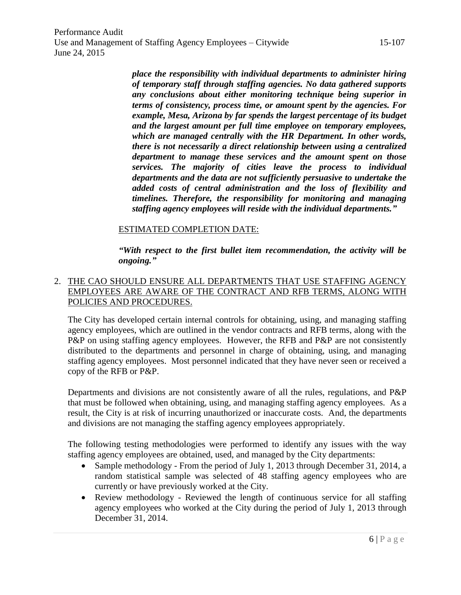Performance Audit Use and Management of Staffing Agency Employees – Citywide 15-107 June 24, 2015

> *place the responsibility with individual departments to administer hiring of temporary staff through staffing agencies. No data gathered supports any conclusions about either monitoring technique being superior in terms of consistency, process time, or amount spent by the agencies. For example, Mesa, Arizona by far spends the largest percentage of its budget and the largest amount per full time employee on temporary employees, which are managed centrally with the HR Department. In other words, there is not necessarily a direct relationship between using a centralized department to manage these services and the amount spent on those services. The majority of cities leave the process to individual departments and the data are not sufficiently persuasive to undertake the added costs of central administration and the loss of flexibility and timelines. Therefore, the responsibility for monitoring and managing staffing agency employees will reside with the individual departments."*

#### ESTIMATED COMPLETION DATE:

*"With respect to the first bullet item recommendation, the activity will be ongoing."*

#### 2. THE CAO SHOULD ENSURE ALL DEPARTMENTS THAT USE STAFFING AGENCY EMPLOYEES ARE AWARE OF THE CONTRACT AND RFB TERMS, ALONG WITH POLICIES AND PROCEDURES.

The City has developed certain internal controls for obtaining, using, and managing staffing agency employees, which are outlined in the vendor contracts and RFB terms, along with the P&P on using staffing agency employees. However, the RFB and P&P are not consistently distributed to the departments and personnel in charge of obtaining, using, and managing staffing agency employees. Most personnel indicated that they have never seen or received a copy of the RFB or P&P.

Departments and divisions are not consistently aware of all the rules, regulations, and P&P that must be followed when obtaining, using, and managing staffing agency employees. As a result, the City is at risk of incurring unauthorized or inaccurate costs. And, the departments and divisions are not managing the staffing agency employees appropriately.

The following testing methodologies were performed to identify any issues with the way staffing agency employees are obtained, used, and managed by the City departments:

- Sample methodology From the period of July 1, 2013 through December 31, 2014, a random statistical sample was selected of 48 staffing agency employees who are currently or have previously worked at the City.
- Review methodology Reviewed the length of continuous service for all staffing agency employees who worked at the City during the period of July 1, 2013 through December 31, 2014.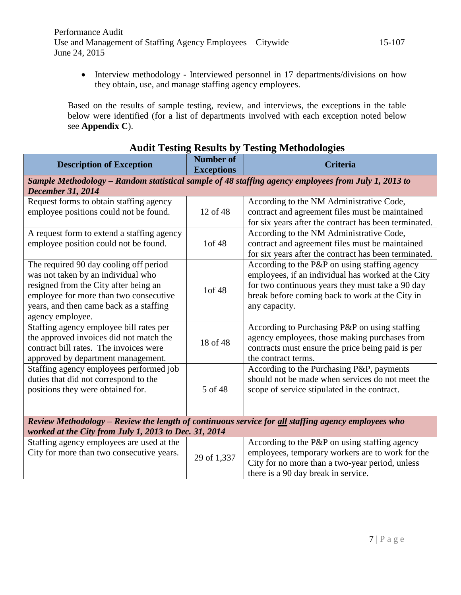• Interview methodology - Interviewed personnel in 17 departments/divisions on how they obtain, use, and manage staffing agency employees.

Based on the results of sample testing, review, and interviews, the exceptions in the table below were identified (for a list of departments involved with each exception noted below see **Appendix C**).

| <b>Audit Testing Results by Testing Methodologies</b>                                               |                                       |                                                       |  |
|-----------------------------------------------------------------------------------------------------|---------------------------------------|-------------------------------------------------------|--|
| <b>Description of Exception</b>                                                                     | <b>Number of</b><br><b>Exceptions</b> | <b>Criteria</b>                                       |  |
| Sample Methodology - Random statistical sample of 48 staffing agency employees from July 1, 2013 to |                                       |                                                       |  |
| <b>December 31, 2014</b>                                                                            |                                       |                                                       |  |
| Request forms to obtain staffing agency                                                             |                                       | According to the NM Administrative Code,              |  |
| employee positions could not be found.                                                              | 12 of 48                              | contract and agreement files must be maintained       |  |
|                                                                                                     |                                       | for six years after the contract has been terminated. |  |
| A request form to extend a staffing agency                                                          |                                       | According to the NM Administrative Code,              |  |
| employee position could not be found.                                                               | 1of 48                                | contract and agreement files must be maintained       |  |
|                                                                                                     |                                       | for six years after the contract has been terminated. |  |
| The required 90 day cooling off period                                                              |                                       | According to the P&P on using staffing agency         |  |
| was not taken by an individual who                                                                  |                                       | employees, if an individual has worked at the City    |  |
| resigned from the City after being an                                                               |                                       | for two continuous years they must take a 90 day      |  |
| employee for more than two consecutive                                                              | 1of 48                                | break before coming back to work at the City in       |  |
| years, and then came back as a staffing                                                             |                                       | any capacity.                                         |  |
| agency employee.                                                                                    |                                       |                                                       |  |
| Staffing agency employee bill rates per                                                             |                                       | According to Purchasing P&P on using staffing         |  |
| the approved invoices did not match the                                                             | 18 of 48                              | agency employees, those making purchases from         |  |
| contract bill rates. The invoices were                                                              |                                       | contracts must ensure the price being paid is per     |  |
| approved by department management.                                                                  |                                       | the contract terms.                                   |  |
| Staffing agency employees performed job                                                             |                                       | According to the Purchasing P&P, payments             |  |
| duties that did not correspond to the                                                               |                                       | should not be made when services do not meet the      |  |
| positions they were obtained for.                                                                   | 5 of 48                               | scope of service stipulated in the contract.          |  |
|                                                                                                     |                                       |                                                       |  |
|                                                                                                     |                                       |                                                       |  |
| Review Methodology - Review the length of continuous service for all staffing agency employees who  |                                       |                                                       |  |
| worked at the City from July 1, 2013 to Dec. 31, 2014                                               |                                       |                                                       |  |
| Staffing agency employees are used at the                                                           |                                       | According to the P&P on using staffing agency         |  |
| City for more than two consecutive years.                                                           | 29 of 1,337                           | employees, temporary workers are to work for the      |  |
|                                                                                                     |                                       | City for no more than a two-year period, unless       |  |
|                                                                                                     |                                       | there is a 90 day break in service.                   |  |

#### **Audit Testing Results by Testing Methodologies**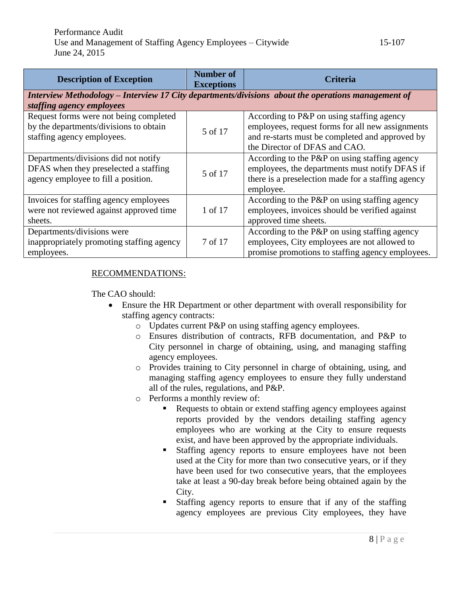| <b>Description of Exception</b>                                                                    | <b>Number of</b><br><b>Exceptions</b> | Criteria                                           |  |
|----------------------------------------------------------------------------------------------------|---------------------------------------|----------------------------------------------------|--|
| Interview Methodology – Interview 17 City departments/divisions about the operations management of |                                       |                                                    |  |
| staffing agency employees                                                                          |                                       |                                                    |  |
| Request forms were not being completed                                                             |                                       | According to P&P on using staffing agency          |  |
| by the departments/divisions to obtain                                                             | 5 of 17                               | employees, request forms for all new assignments   |  |
| staffing agency employees.                                                                         |                                       | and re-starts must be completed and approved by    |  |
|                                                                                                    |                                       | the Director of DFAS and CAO.                      |  |
| Departments/divisions did not notify                                                               |                                       | According to the $P\&P$ on using staffing agency   |  |
| DFAS when they preselected a staffing                                                              | 5 of 17                               | employees, the departments must notify DFAS if     |  |
| agency employee to fill a position.                                                                |                                       | there is a preselection made for a staffing agency |  |
|                                                                                                    |                                       | employee.                                          |  |
| Invoices for staffing agency employees                                                             |                                       | According to the P&P on using staffing agency      |  |
| were not reviewed against approved time                                                            | 1 of 17                               | employees, invoices should be verified against     |  |
| sheets.                                                                                            |                                       | approved time sheets.                              |  |
| Departments/divisions were                                                                         |                                       | According to the P&P on using staffing agency      |  |
| inappropriately promoting staffing agency                                                          | 7 of 17                               | employees, City employees are not allowed to       |  |
| employees.                                                                                         |                                       | promise promotions to staffing agency employees.   |  |

#### RECOMMENDATIONS:

The CAO should:

- Ensure the HR Department or other department with overall responsibility for staffing agency contracts:
	- o Updates current P&P on using staffing agency employees.
	- o Ensures distribution of contracts, RFB documentation, and P&P to City personnel in charge of obtaining, using, and managing staffing agency employees.
	- o Provides training to City personnel in charge of obtaining, using, and managing staffing agency employees to ensure they fully understand all of the rules, regulations, and P&P.
	- o Performs a monthly review of:
		- Requests to obtain or extend staffing agency employees against reports provided by the vendors detailing staffing agency employees who are working at the City to ensure requests exist, and have been approved by the appropriate individuals.
		- **Staffing agency reports to ensure employees have not been** used at the City for more than two consecutive years, or if they have been used for two consecutive years, that the employees take at least a 90-day break before being obtained again by the City.
		- Staffing agency reports to ensure that if any of the staffing agency employees are previous City employees, they have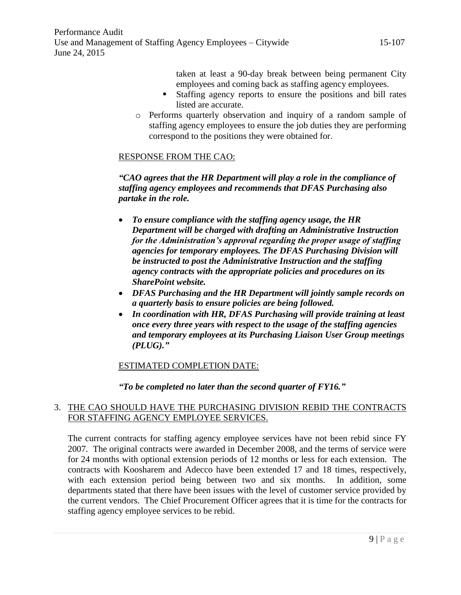taken at least a 90-day break between being permanent City employees and coming back as staffing agency employees.

- Staffing agency reports to ensure the positions and bill rates listed are accurate.
- o Performs quarterly observation and inquiry of a random sample of staffing agency employees to ensure the job duties they are performing correspond to the positions they were obtained for.

#### RESPONSE FROM THE CAO:

*"CAO agrees that the HR Department will play a role in the compliance of staffing agency employees and recommends that DFAS Purchasing also partake in the role.*

- *To ensure compliance with the staffing agency usage, the HR Department will be charged with drafting an Administrative Instruction for the Administration's approval regarding the proper usage of staffing agencies for temporary employees. The DFAS Purchasing Division will be instructed to post the Administrative Instruction and the staffing agency contracts with the appropriate policies and procedures on its SharePoint website.*
- *DFAS Purchasing and the HR Department will jointly sample records on a quarterly basis to ensure policies are being followed.*
- *In coordination with HR, DFAS Purchasing will provide training at least once every three years with respect to the usage of the staffing agencies and temporary employees at its Purchasing Liaison User Group meetings (PLUG)."*

#### ESTIMATED COMPLETION DATE:

#### *"To be completed no later than the second quarter of FY16."*

#### 3. THE CAO SHOULD HAVE THE PURCHASING DIVISION REBID THE CONTRACTS FOR STAFFING AGENCY EMPLOYEE SERVICES.

The current contracts for staffing agency employee services have not been rebid since FY 2007. The original contracts were awarded in December 2008, and the terms of service were for 24 months with optional extension periods of 12 months or less for each extension. The contracts with Koosharem and Adecco have been extended 17 and 18 times, respectively, with each extension period being between two and six months. In addition, some departments stated that there have been issues with the level of customer service provided by the current vendors. The Chief Procurement Officer agrees that it is time for the contracts for staffing agency employee services to be rebid.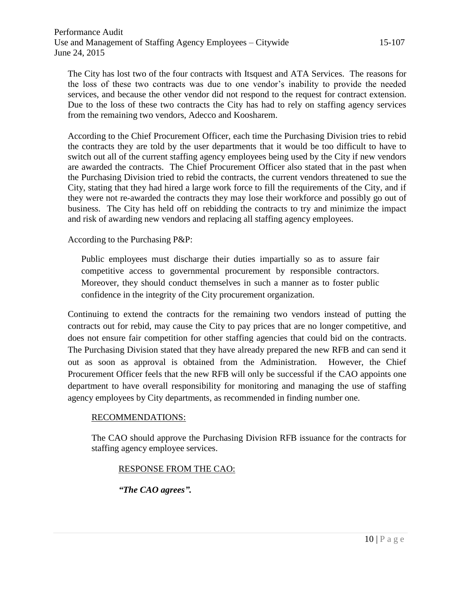The City has lost two of the four contracts with Itsquest and ATA Services. The reasons for the loss of these two contracts was due to one vendor's inability to provide the needed services, and because the other vendor did not respond to the request for contract extension. Due to the loss of these two contracts the City has had to rely on staffing agency services from the remaining two vendors, Adecco and Koosharem.

According to the Chief Procurement Officer, each time the Purchasing Division tries to rebid the contracts they are told by the user departments that it would be too difficult to have to switch out all of the current staffing agency employees being used by the City if new vendors are awarded the contracts. The Chief Procurement Officer also stated that in the past when the Purchasing Division tried to rebid the contracts, the current vendors threatened to sue the City, stating that they had hired a large work force to fill the requirements of the City, and if they were not re-awarded the contracts they may lose their workforce and possibly go out of business. The City has held off on rebidding the contracts to try and minimize the impact and risk of awarding new vendors and replacing all staffing agency employees.

According to the Purchasing P&P:

Public employees must discharge their duties impartially so as to assure fair competitive access to governmental procurement by responsible contractors. Moreover, they should conduct themselves in such a manner as to foster public confidence in the integrity of the City procurement organization.

Continuing to extend the contracts for the remaining two vendors instead of putting the contracts out for rebid, may cause the City to pay prices that are no longer competitive, and does not ensure fair competition for other staffing agencies that could bid on the contracts. The Purchasing Division stated that they have already prepared the new RFB and can send it out as soon as approval is obtained from the Administration. However, the Chief Procurement Officer feels that the new RFB will only be successful if the CAO appoints one department to have overall responsibility for monitoring and managing the use of staffing agency employees by City departments, as recommended in finding number one.

#### RECOMMENDATIONS:

The CAO should approve the Purchasing Division RFB issuance for the contracts for staffing agency employee services.

#### RESPONSE FROM THE CAO:

*"The CAO agrees".*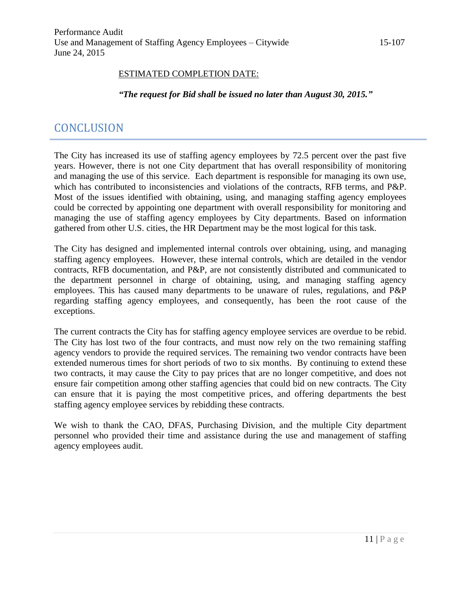#### ESTIMATED COMPLETION DATE:

*"The request for Bid shall be issued no later than August 30, 2015."*

## **CONCLUSION**

The City has increased its use of staffing agency employees by 72.5 percent over the past five years. However, there is not one City department that has overall responsibility of monitoring and managing the use of this service. Each department is responsible for managing its own use, which has contributed to inconsistencies and violations of the contracts, RFB terms, and P&P. Most of the issues identified with obtaining, using, and managing staffing agency employees could be corrected by appointing one department with overall responsibility for monitoring and managing the use of staffing agency employees by City departments. Based on information gathered from other U.S. cities, the HR Department may be the most logical for this task.

The City has designed and implemented internal controls over obtaining, using, and managing staffing agency employees. However, these internal controls, which are detailed in the vendor contracts, RFB documentation, and P&P, are not consistently distributed and communicated to the department personnel in charge of obtaining, using, and managing staffing agency employees. This has caused many departments to be unaware of rules, regulations, and P&P regarding staffing agency employees, and consequently, has been the root cause of the exceptions.

The current contracts the City has for staffing agency employee services are overdue to be rebid. The City has lost two of the four contracts, and must now rely on the two remaining staffing agency vendors to provide the required services. The remaining two vendor contracts have been extended numerous times for short periods of two to six months. By continuing to extend these two contracts, it may cause the City to pay prices that are no longer competitive, and does not ensure fair competition among other staffing agencies that could bid on new contracts. The City can ensure that it is paying the most competitive prices, and offering departments the best staffing agency employee services by rebidding these contracts.

We wish to thank the CAO, DFAS, Purchasing Division, and the multiple City department personnel who provided their time and assistance during the use and management of staffing agency employees audit.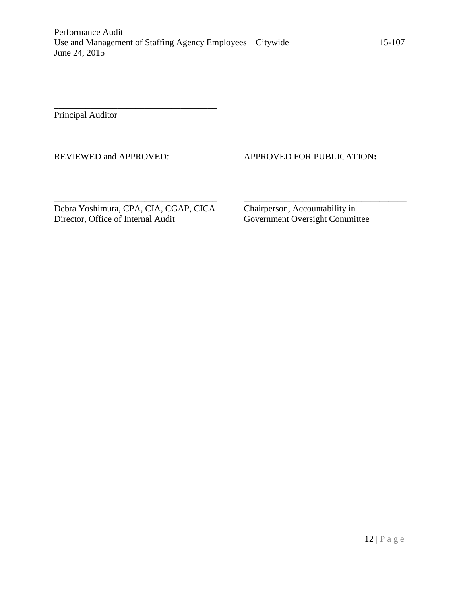Principal Auditor

#### REVIEWED and APPROVED: APPROVED FOR PUBLICATION**:**

Debra Yoshimura, CPA, CIA, CGAP, CICA<br>Director, Office of Internal Audit<br>Government Oversight Commit

\_\_\_\_\_\_\_\_\_\_\_\_\_\_\_\_\_\_\_\_\_\_\_\_\_\_\_\_\_\_\_\_\_\_\_\_

Government Oversight Committee

\_\_\_\_\_\_\_\_\_\_\_\_\_\_\_\_\_\_\_\_\_\_\_\_\_\_\_\_\_\_\_\_\_\_\_\_ \_\_\_\_\_\_\_\_\_\_\_\_\_\_\_\_\_\_\_\_\_\_\_\_\_\_\_\_\_\_\_\_\_\_\_\_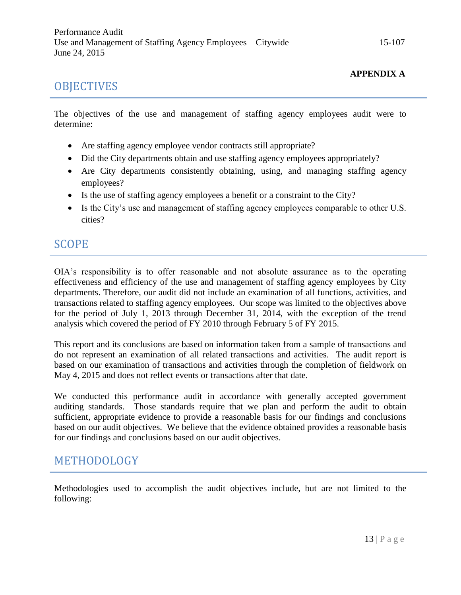## **OBJECTIVES**

#### **APPENDIX A**

The objectives of the use and management of staffing agency employees audit were to determine:

- Are staffing agency employee vendor contracts still appropriate?
- Did the City departments obtain and use staffing agency employees appropriately?
- Are City departments consistently obtaining, using, and managing staffing agency employees?
- Is the use of staffing agency employees a benefit or a constraint to the City?
- Is the City's use and management of staffing agency employees comparable to other U.S. cities?

## SCOPE

OIA's responsibility is to offer reasonable and not absolute assurance as to the operating effectiveness and efficiency of the use and management of staffing agency employees by City departments. Therefore, our audit did not include an examination of all functions, activities, and transactions related to staffing agency employees. Our scope was limited to the objectives above for the period of July 1, 2013 through December 31, 2014, with the exception of the trend analysis which covered the period of FY 2010 through February 5 of FY 2015.

This report and its conclusions are based on information taken from a sample of transactions and do not represent an examination of all related transactions and activities. The audit report is based on our examination of transactions and activities through the completion of fieldwork on May 4, 2015 and does not reflect events or transactions after that date.

We conducted this performance audit in accordance with generally accepted government auditing standards. Those standards require that we plan and perform the audit to obtain sufficient, appropriate evidence to provide a reasonable basis for our findings and conclusions based on our audit objectives. We believe that the evidence obtained provides a reasonable basis for our findings and conclusions based on our audit objectives.

## METHODOLOGY

Methodologies used to accomplish the audit objectives include, but are not limited to the following: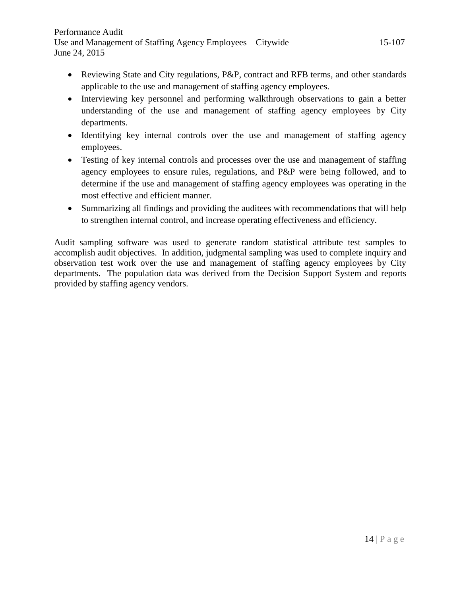- Reviewing State and City regulations, P&P, contract and RFB terms, and other standards applicable to the use and management of staffing agency employees.
- Interviewing key personnel and performing walkthrough observations to gain a better understanding of the use and management of staffing agency employees by City departments.
- Identifying key internal controls over the use and management of staffing agency employees.
- Testing of key internal controls and processes over the use and management of staffing agency employees to ensure rules, regulations, and P&P were being followed, and to determine if the use and management of staffing agency employees was operating in the most effective and efficient manner.
- Summarizing all findings and providing the auditees with recommendations that will help to strengthen internal control, and increase operating effectiveness and efficiency.

Audit sampling software was used to generate random statistical attribute test samples to accomplish audit objectives. In addition, judgmental sampling was used to complete inquiry and observation test work over the use and management of staffing agency employees by City departments. The population data was derived from the Decision Support System and reports provided by staffing agency vendors.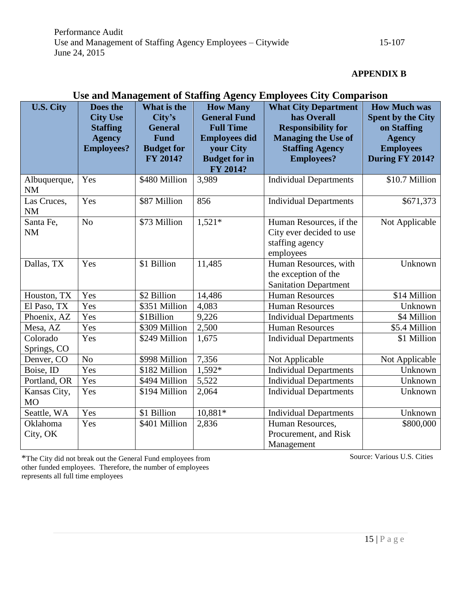#### **APPENDIX B**

| <b>U.S. City</b>          | Does the<br><b>City Use</b><br><b>Staffing</b><br><b>Agency</b><br><b>Employees?</b> | What is the<br>City's<br><b>General</b><br><b>Fund</b><br><b>Budget for</b> | <b>How Many</b><br><b>General Fund</b><br><b>Full Time</b><br><b>Employees did</b><br>your City | $\mathbf{r}$ - $\mathbf{v}$ - $\mathbf{v}$ - $\mathbf{v}$ - $\mathbf{r}$ - $\mathbf{r}$<br><b>What City Department</b><br>has Overall<br><b>Responsibility for</b><br><b>Managing the Use of</b><br><b>Staffing Agency</b> | <b>How Much was</b><br><b>Spent by the City</b><br>on Staffing<br><b>Agency</b><br><b>Employees</b> |
|---------------------------|--------------------------------------------------------------------------------------|-----------------------------------------------------------------------------|-------------------------------------------------------------------------------------------------|----------------------------------------------------------------------------------------------------------------------------------------------------------------------------------------------------------------------------|-----------------------------------------------------------------------------------------------------|
|                           |                                                                                      | FY 2014?                                                                    | <b>Budget for in</b><br>FY 2014?                                                                | <b>Employees?</b>                                                                                                                                                                                                          | During FY 2014?                                                                                     |
| Albuquerque,<br><b>NM</b> | Yes                                                                                  | \$480 Million                                                               | 3,989                                                                                           | <b>Individual Departments</b>                                                                                                                                                                                              | \$10.7 Million                                                                                      |
| Las Cruces,<br><b>NM</b>  | Yes                                                                                  | \$87 Million                                                                | 856                                                                                             | <b>Individual Departments</b>                                                                                                                                                                                              | \$671,373                                                                                           |
| Santa Fe,<br><b>NM</b>    | N <sub>o</sub>                                                                       | \$73 Million                                                                | $1,521*$                                                                                        | Human Resources, if the<br>City ever decided to use<br>staffing agency<br>employees                                                                                                                                        | Not Applicable                                                                                      |
| Dallas, TX                | Yes                                                                                  | $$1$ Billion                                                                | 11,485                                                                                          | Human Resources, with<br>the exception of the<br><b>Sanitation Department</b>                                                                                                                                              | Unknown                                                                                             |
| Houston, TX               | Yes                                                                                  | \$2 Billion                                                                 | 14,486                                                                                          | <b>Human Resources</b>                                                                                                                                                                                                     | \$14 Million                                                                                        |
| El Paso, TX               | Yes                                                                                  | \$351 Million                                                               | 4,083                                                                                           | <b>Human Resources</b>                                                                                                                                                                                                     | Unknown                                                                                             |
| Phoenix, AZ               | Yes                                                                                  | \$1Billion                                                                  | 9,226                                                                                           | <b>Individual Departments</b>                                                                                                                                                                                              | \$4 Million                                                                                         |
| Mesa, AZ                  | Yes                                                                                  | \$309 Million                                                               | 2,500                                                                                           | <b>Human Resources</b>                                                                                                                                                                                                     | \$5.4 Million                                                                                       |
| Colorado<br>Springs, CO   | Yes                                                                                  | \$249 Million                                                               | 1,675                                                                                           | <b>Individual Departments</b>                                                                                                                                                                                              | \$1 Million                                                                                         |
| Denver, CO                | N <sub>o</sub>                                                                       | \$998 Million                                                               | 7,356                                                                                           | Not Applicable                                                                                                                                                                                                             | Not Applicable                                                                                      |
| Boise, ID                 | Yes                                                                                  | \$182 Million                                                               | 1,592*                                                                                          | <b>Individual Departments</b>                                                                                                                                                                                              | Unknown                                                                                             |
| Portland, OR              | Yes                                                                                  | \$494 Million                                                               | 5,522                                                                                           | <b>Individual Departments</b>                                                                                                                                                                                              | Unknown                                                                                             |
| Kansas City,<br>MO        | Yes                                                                                  | \$194 Million                                                               | 2,064                                                                                           | <b>Individual Departments</b>                                                                                                                                                                                              | Unknown                                                                                             |
| Seattle, WA               | Yes                                                                                  | \$1 Billion                                                                 | 10,881*                                                                                         | <b>Individual Departments</b>                                                                                                                                                                                              | Unknown                                                                                             |
| Oklahoma<br>City, OK      | Yes                                                                                  | \$401 Million                                                               | 2,836                                                                                           | Human Resources,<br>Procurement, and Risk<br>Management                                                                                                                                                                    | \$800,000                                                                                           |

#### **Use and Management of Staffing Agency Employees City Comparison**

\*The City did not break out the General Fund employees from Source: Various U.S. Cities other funded employees. Therefore, the number of employees represents all full time employees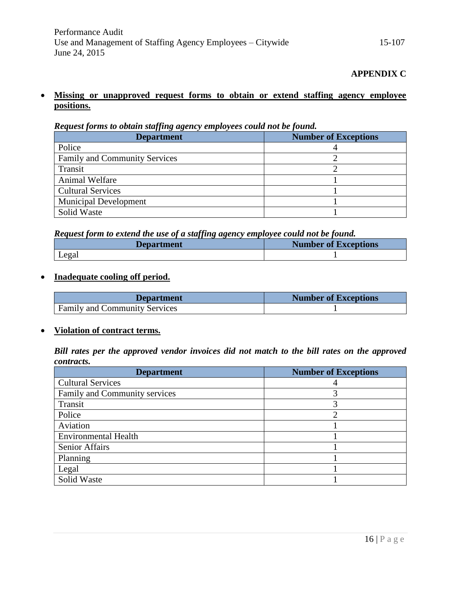#### **Missing or unapproved request forms to obtain or extend staffing agency employee positions.**

*Request forms to obtain staffing agency employees could not be found.*

| <b>Department</b>                    | <b>Number of Exceptions</b> |
|--------------------------------------|-----------------------------|
| Police                               |                             |
| <b>Family and Community Services</b> |                             |
| Transit                              |                             |
| Animal Welfare                       |                             |
| <b>Cultural Services</b>             |                             |
| <b>Municipal Development</b>         |                             |
| Solid Waste                          |                             |

*Request form to extend the use of a staffing agency employee could not be found.*

| <b>Department</b> | <b>Number of Exceptions</b> |
|-------------------|-----------------------------|
| Legal             |                             |

#### **Inadequate cooling off period.**

| <b>Department</b>                    | <b>Number of Exceptions</b> |
|--------------------------------------|-----------------------------|
| <b>Family and Community Services</b> |                             |

#### **Violation of contract terms.**

*Bill rates per the approved vendor invoices did not match to the bill rates on the approved contracts.*

| <b>Department</b>             | <b>Number of Exceptions</b> |
|-------------------------------|-----------------------------|
| <b>Cultural Services</b>      |                             |
| Family and Community services |                             |
| Transit                       | 3                           |
| Police                        |                             |
| Aviation                      |                             |
| <b>Environmental Health</b>   |                             |
| <b>Senior Affairs</b>         |                             |
| Planning                      |                             |
| Legal                         |                             |
| Solid Waste                   |                             |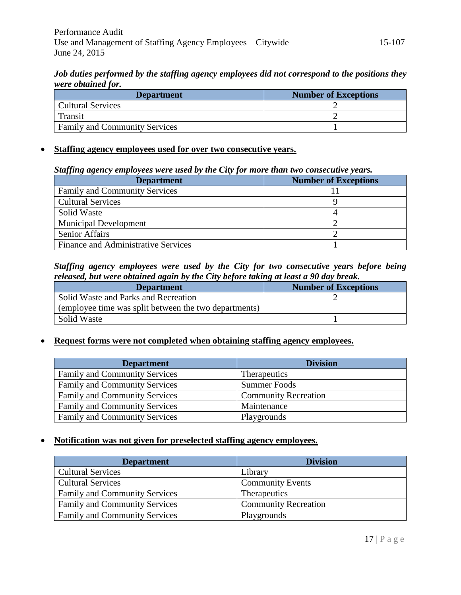*Job duties performed by the staffing agency employees did not correspond to the positions they were obtained for.*

| <b>Department</b>                    | <b>Number of Exceptions</b> |
|--------------------------------------|-----------------------------|
| <b>Cultural Services</b>             |                             |
| Transit                              |                             |
| <b>Family and Community Services</b> |                             |

#### **Staffing agency employees used for over two consecutive years.**

#### *Staffing agency employees were used by the City for more than two consecutive years.*

| <b>Department</b>                          | <b>Number of Exceptions</b> |
|--------------------------------------------|-----------------------------|
| <b>Family and Community Services</b>       |                             |
| <b>Cultural Services</b>                   |                             |
| Solid Waste                                |                             |
| <b>Municipal Development</b>               |                             |
| <b>Senior Affairs</b>                      |                             |
| <b>Finance and Administrative Services</b> |                             |

#### *Staffing agency employees were used by the City for two consecutive years before being released, but were obtained again by the City before taking at least a 90 day break.*

| <b>Department</b>                                     | <b>Number of Exceptions</b> |
|-------------------------------------------------------|-----------------------------|
| Solid Waste and Parks and Recreation                  |                             |
| (employee time was split between the two departments) |                             |
| Solid Waste                                           |                             |

#### **Request forms were not completed when obtaining staffing agency employees.**

| <b>Department</b>                    | <b>Division</b>             |
|--------------------------------------|-----------------------------|
| <b>Family and Community Services</b> | <b>Therapeutics</b>         |
| <b>Family and Community Services</b> | <b>Summer Foods</b>         |
| <b>Family and Community Services</b> | <b>Community Recreation</b> |
| <b>Family and Community Services</b> | Maintenance                 |
| <b>Family and Community Services</b> | Playgrounds                 |

#### **Notification was not given for preselected staffing agency employees.**

| <b>Department</b>                    | <b>Division</b>             |
|--------------------------------------|-----------------------------|
| <b>Cultural Services</b>             | Library                     |
| <b>Cultural Services</b>             | <b>Community Events</b>     |
| <b>Family and Community Services</b> | <b>Therapeutics</b>         |
| <b>Family and Community Services</b> | <b>Community Recreation</b> |
| <b>Family and Community Services</b> | Playgrounds                 |